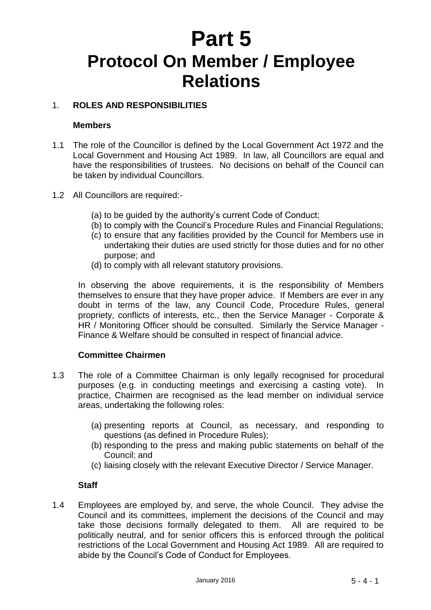# **Part 5 Protocol On Member / Employee Relations**

# 1. **ROLES AND RESPONSIBILITIES**

#### **Members**

- 1.1 The role of the Councillor is defined by the Local Government Act 1972 and the Local Government and Housing Act 1989. In law, all Councillors are equal and have the responsibilities of trustees. No decisions on behalf of the Council can be taken by individual Councillors.
- 1.2 All Councillors are required:-
	- (a) to be guided by the authority's current Code of Conduct;
	- (b) to comply with the Council's Procedure Rules and Financial Regulations;
	- (c) to ensure that any facilities provided by the Council for Members use in undertaking their duties are used strictly for those duties and for no other purpose; and
	- (d) to comply with all relevant statutory provisions.

In observing the above requirements, it is the responsibility of Members themselves to ensure that they have proper advice. If Members are ever in any doubt in terms of the law, any Council Code, Procedure Rules, general propriety, conflicts of interests, etc., then the Service Manager - Corporate & HR / Monitoring Officer should be consulted. Similarly the Service Manager - Finance & Welfare should be consulted in respect of financial advice.

#### **Committee Chairmen**

- 1.3 The role of a Committee Chairman is only legally recognised for procedural purposes (e.g. in conducting meetings and exercising a casting vote). In practice, Chairmen are recognised as the lead member on individual service areas, undertaking the following roles:
	- (a) presenting reports at Council, as necessary, and responding to questions (as defined in Procedure Rules);
	- (b) responding to the press and making public statements on behalf of the Council; and
	- (c) liaising closely with the relevant Executive Director / Service Manager.

#### **Staff**

1.4 Employees are employed by, and serve, the whole Council. They advise the Council and its committees, implement the decisions of the Council and may take those decisions formally delegated to them. All are required to be politically neutral, and for senior officers this is enforced through the political restrictions of the Local Government and Housing Act 1989. All are required to abide by the Council's Code of Conduct for Employees.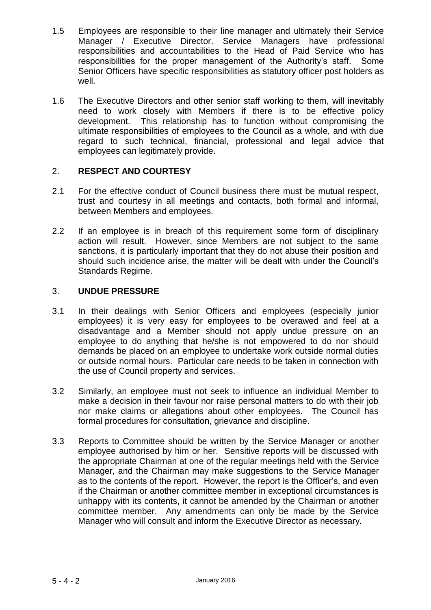- 1.5 Employees are responsible to their line manager and ultimately their Service Manager / Executive Director. Service Managers have professional responsibilities and accountabilities to the Head of Paid Service who has responsibilities for the proper management of the Authority's staff. Some Senior Officers have specific responsibilities as statutory officer post holders as well.
- 1.6 The Executive Directors and other senior staff working to them, will inevitably need to work closely with Members if there is to be effective policy development. This relationship has to function without compromising the ultimate responsibilities of employees to the Council as a whole, and with due regard to such technical, financial, professional and legal advice that employees can legitimately provide.

# 2. **RESPECT AND COURTESY**

- 2.1 For the effective conduct of Council business there must be mutual respect, trust and courtesy in all meetings and contacts, both formal and informal, between Members and employees.
- 2.2 If an employee is in breach of this requirement some form of disciplinary action will result. However, since Members are not subject to the same sanctions, it is particularly important that they do not abuse their position and should such incidence arise, the matter will be dealt with under the Council's Standards Regime.

# 3. **UNDUE PRESSURE**

- 3.1 In their dealings with Senior Officers and employees (especially junior employees) it is very easy for employees to be overawed and feel at a disadvantage and a Member should not apply undue pressure on an employee to do anything that he/she is not empowered to do nor should demands be placed on an employee to undertake work outside normal duties or outside normal hours. Particular care needs to be taken in connection with the use of Council property and services.
- 3.2 Similarly, an employee must not seek to influence an individual Member to make a decision in their favour nor raise personal matters to do with their job nor make claims or allegations about other employees. The Council has formal procedures for consultation, grievance and discipline.
- 3.3 Reports to Committee should be written by the Service Manager or another employee authorised by him or her. Sensitive reports will be discussed with the appropriate Chairman at one of the regular meetings held with the Service Manager, and the Chairman may make suggestions to the Service Manager as to the contents of the report. However, the report is the Officer's, and even if the Chairman or another committee member in exceptional circumstances is unhappy with its contents, it cannot be amended by the Chairman or another committee member. Any amendments can only be made by the Service Manager who will consult and inform the Executive Director as necessary.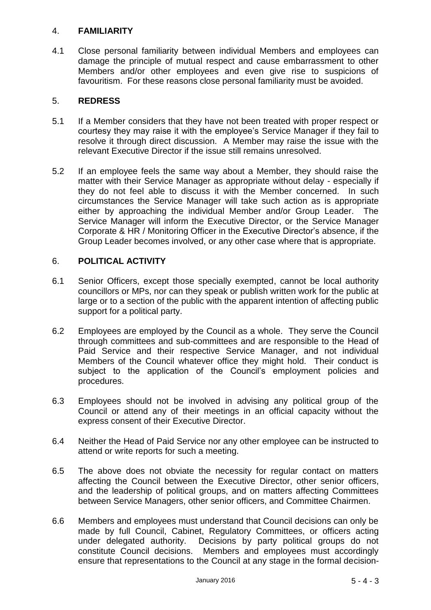#### 4. **FAMILIARITY**

4.1 Close personal familiarity between individual Members and employees can damage the principle of mutual respect and cause embarrassment to other Members and/or other employees and even give rise to suspicions of favouritism. For these reasons close personal familiarity must be avoided.

#### 5. **REDRESS**

- 5.1 If a Member considers that they have not been treated with proper respect or courtesy they may raise it with the employee's Service Manager if they fail to resolve it through direct discussion. A Member may raise the issue with the relevant Executive Director if the issue still remains unresolved.
- 5.2 If an employee feels the same way about a Member, they should raise the matter with their Service Manager as appropriate without delay - especially if they do not feel able to discuss it with the Member concerned. In such circumstances the Service Manager will take such action as is appropriate either by approaching the individual Member and/or Group Leader. The Service Manager will inform the Executive Director, or the Service Manager Corporate & HR / Monitoring Officer in the Executive Director's absence, if the Group Leader becomes involved, or any other case where that is appropriate.

# 6. **POLITICAL ACTIVITY**

- 6.1 Senior Officers, except those specially exempted, cannot be local authority councillors or MPs, nor can they speak or publish written work for the public at large or to a section of the public with the apparent intention of affecting public support for a political party.
- 6.2 Employees are employed by the Council as a whole. They serve the Council through committees and sub-committees and are responsible to the Head of Paid Service and their respective Service Manager, and not individual Members of the Council whatever office they might hold. Their conduct is subject to the application of the Council's employment policies and procedures.
- 6.3 Employees should not be involved in advising any political group of the Council or attend any of their meetings in an official capacity without the express consent of their Executive Director.
- 6.4 Neither the Head of Paid Service nor any other employee can be instructed to attend or write reports for such a meeting.
- 6.5 The above does not obviate the necessity for regular contact on matters affecting the Council between the Executive Director, other senior officers, and the leadership of political groups, and on matters affecting Committees between Service Managers, other senior officers, and Committee Chairmen.
- 6.6 Members and employees must understand that Council decisions can only be made by full Council, Cabinet, Regulatory Committees, or officers acting under delegated authority. Decisions by party political groups do not constitute Council decisions. Members and employees must accordingly ensure that representations to the Council at any stage in the formal decision-